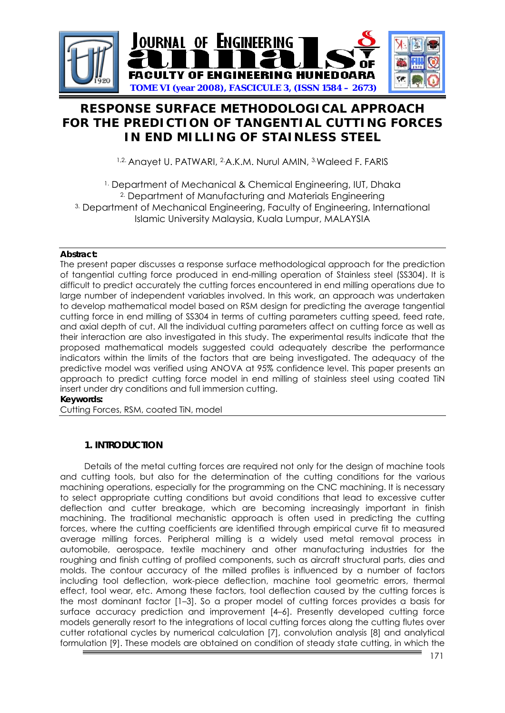

# **RESPONSE SURFACE METHODOLOGICAL APPROACH FOR THE PREDICTION OF TANGENTIAL CUTTING FORCES IN END MILLING OF STAINLESS STEEL**

1,2. Anayet U. PATWARI, 2.A.K.M. Nurul AMIN, 3. Waleed F. FARIS

<sup>1.</sup> Department of Mechanical & Chemical Engineering, IUT, Dhaka 2. Department of Manufacturing and Materials Engineering 3. Department of Mechanical Engineering, Faculty of Engineering, International Islamic University Malaysia, Kuala Lumpur, MALAYSIA

# **Abstract:**

The present paper discusses a response surface methodological approach for the prediction of tangential cutting force produced in end-milling operation of Stainless steel (SS304). It is difficult to predict accurately the cutting forces encountered in end milling operations due to large number of independent variables involved. In this work, an approach was undertaken to develop mathematical model based on RSM design for predicting the average tangential cutting force in end milling of SS304 in terms of cutting parameters cutting speed, feed rate, and axial depth of cut. All the individual cutting parameters affect on cutting force as well as their interaction are also investigated in this study. The experimental results indicate that the proposed mathematical models suggested could adequately describe the performance indicators within the limits of the factors that are being investigated. The adequacy of the predictive model was verified using ANOVA at 95% confidence level. This paper presents an approach to predict cutting force model in end milling of stainless steel using coated TiN insert under dry conditions and full immersion cutting. **Keywords:**

Cutting Forces, RSM, coated TiN, model

# **1. INTRODUCTION**

Details of the metal cutting forces are required not only for the design of machine tools and cutting tools, but also for the determination of the cutting conditions for the various machining operations, especially for the programming on the CNC machining. It is necessary to select appropriate cutting conditions but avoid conditions that lead to excessive cutter deflection and cutter breakage, which are becoming increasingly important in finish machining. The traditional mechanistic approach is often used in predicting the cutting forces, where the cutting coefficients are identified through empirical curve fit to measured average milling forces. Peripheral milling is a widely used metal removal process in automobile, aerospace, textile machinery and other manufacturing industries for the roughing and finish cutting of profiled components, such as aircraft structural parts, dies and molds. The contour accuracy of the milled profiles is influenced by a number of factors including tool deflection, work-piece deflection, machine tool geometric errors, thermal effect, tool wear, etc. Among these factors, tool deflection caused by the cutting forces is the most dominant factor [1–3]. So a proper model of cutting forces provides a basis for surface accuracy prediction and improvement [4–6]. Presently developed cutting force models generally resort to the integrations of local cutting forces along the cutting flutes over cutter rotational cycles by numerical calculation [7], convolution analysis [8] and analytical formulation [9]. These models are obtained on condition of steady state cutting, in which the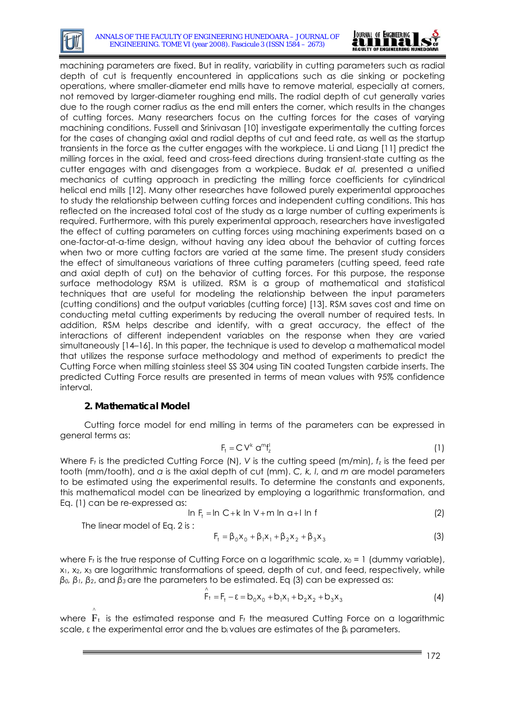

machining parameters are fixed. But in reality, variability in cutting parameters such as radial depth of cut is frequently encountered in applications such as die sinking or pocketing operations, where smaller-diameter end mills have to remove material, especially at corners, not removed by larger-diameter roughing end mills. The radial depth of cut generally varies due to the rough corner radius as the end mill enters the corner, which results in the changes of cutting forces. Many researchers focus on the cutting forces for the cases of varying machining conditions. Fussell and Srinivasan [10] investigate experimentally the cutting forces for the cases of changing axial and radial depths of cut and feed rate, as well as the startup transients in the force as the cutter engages with the workpiece. Li and Liang [11] predict the milling forces in the axial, feed and cross-feed directions during transient-state cutting as the cutter engages with and disengages from a workpiece. Budak *et al.* presented a unified mechanics of cutting approach in predicting the milling force coefficients for cylindrical helical end mills [12]. Many other researches have followed purely experimental approaches to study the relationship between cutting forces and independent cutting conditions. This has reflected on the increased total cost of the study as a large number of cutting experiments is required. Furthermore, with this purely experimental approach, researchers have investigated the effect of cutting parameters on cutting forces using machining experiments based on a one-factor-at-a-time design, without having any idea about the behavior of cutting forces when two or more cutting factors are varied at the same time. The present study considers the effect of simultaneous variations of three cutting parameters (cutting speed, feed rate and axial depth of cut) on the behavior of cutting forces. For this purpose, the response surface methodology RSM is utilized. RSM is a group of mathematical and statistical techniques that are useful for modeling the relationship between the input parameters (cutting conditions) and the output variables (cutting force) [13]. RSM saves cost and time on conducting metal cutting experiments by reducing the overall number of required tests. In addition, RSM helps describe and identify, with a great accuracy, the effect of the interactions of different independent variables on the response when they are varied simultaneously [14–16]. In this paper, the technique is used to develop a mathematical model that utilizes the response surface methodology and method of experiments to predict the Cutting Force when milling stainless steel SS 304 using TiN coated Tungsten carbide inserts. The predicted Cutting Force results are presented in terms of mean values with 95% confidence interval.

# **2. Mathematical Model**

Cutting force model for end milling in terms of the parameters can be expressed in general terms as:

$$
F_t = C V^k \, \alpha^m f_z^l \tag{1}
$$

Where F<sub>t</sub> is the predicted Cutting Force (N), *V* is the cutting speed (m/min),  $f_z$  is the feed per tooth (mm/tooth), and *a* is the axial depth of cut (mm). *C, k, l*, and *m* are model parameters to be estimated using the experimental results. To determine the constants and exponents, this mathematical model can be linearized by employing a logarithmic transformation, and Eq. (1) can be re-expressed as:

$$
\ln F_t = \ln C + k \ln V + m \ln a + l \ln f \tag{2}
$$

The linear model of Eq. 2 is :

$$
F_{t} = \beta_{0}x_{0} + \beta_{1}x_{1} + \beta_{2}x_{2} + \beta_{3}x_{3}
$$
\n(3)

where F<sub>t</sub> is the true response of Cutting Force on a logarithmic scale,  $x_0 = 1$  (dummy variable), x1, x2, x3 are logarithmic transformations of speed, depth of cut, and feed, respectively, while *β0, β1, β2*, and *β3* are the parameters to be estimated. Eq (3) can be expressed as:

$$
\hat{F}_1 = F_1 - \varepsilon = b_0 x_0 + b_1 x_1 + b_2 x_2 + b_3 x_3
$$
 (4)

where  $F_t$  is the estimated response and  $F_t$  the measured Cutting Force on a logarithmic ^ scale,  $\epsilon$  the experimental error and the b<sub>i</sub> values are estimates of the  $\beta_i$  parameters.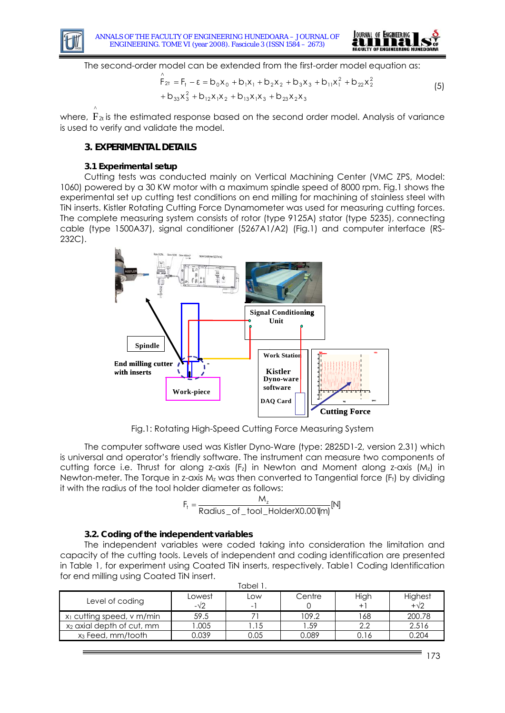



The second-order model can be extended from the first-order model equation as:

$$
\hat{F}_{2t} = F_t - \varepsilon = b_0 x_0 + b_1 x_1 + b_2 x_2 + b_3 x_3 + b_{11} x_1^2 + b_{22} x_2^2
$$
  
+ 
$$
b_{33} x_3^2 + b_{12} x_1 x_2 + b_{13} x_1 x_3 + b_{23} x_2 x_3
$$
 (5)

where,  $F_{2t}$  is the estimated response based on the second order model. Analysis of variance is used to verify and validate the model. ^

### **3. EXPERIMENTAL DETAILS**

#### **3.1 Experimental setup**

Cutting tests was conducted mainly on Vertical Machining Center (VMC ZPS, Model: 1060) powered by a 30 KW motor with a maximum spindle speed of 8000 rpm. Fig.1 shows the experimental set up cutting test conditions on end milling for machining of stainless steel with TiN inserts. Kistler Rotating Cutting Force Dynamometer was used for measuring cutting forces. The complete measuring system consists of rotor (type 9125A) stator (type 5235), connecting cable (type 1500A37), signal conditioner (5267A1/A2) (Fig.1) and computer interface (RS-232C).



Fig.1: Rotating High-Speed Cutting Force Measuring System

The computer software used was Kistler Dyno-Ware (type: 2825D1-2, version 2.31) which is universal and operator's friendly software. The instrument can measure two components of cutting force i.e. Thrust for along z-axis  $(F<sub>z</sub>)$  in Newton and Moment along z-axis  $(M<sub>z</sub>)$  in Newton-meter. The Torque in z-axis Mz was then converted to Tangential force (Ft) by dividing it with the radius of the tool holder diameter as follows:

$$
F_t = \frac{M_z}{Radius\_of\_tool\_HolderX0.00 \, \text{I} \text{m}} \text{[N]}
$$

#### **3.2. Coding of the independent variables**

The independent variables were coded taking into consideration the limitation and capacity of the cutting tools. Levels of independent and coding identification are presented in Table 1, for experiment using Coated TiN inserts, respectively. Table1 Coding Identification for end milling using Coated TiN insert. Tabel 1.

| Tapel T                               |               |          |        |           |                        |  |
|---------------------------------------|---------------|----------|--------|-----------|------------------------|--|
| Level of coding                       | Lowest<br>-√2 | LOW<br>- | Centre | High<br>+ | Highest<br>$+\sqrt{2}$ |  |
| x <sub>1</sub> cutting speed, v m/min | 59.5          |          | 109.2  | 68        | 200.78                 |  |
| x <sub>2</sub> axial depth of cut, mm | .005          |          | 59. ا  | っっ        | 2.516                  |  |
| x <sub>3</sub> Feed, mm/tooth         | 0.039         | 0.05     | 0.089  | 0.16      | 0.204                  |  |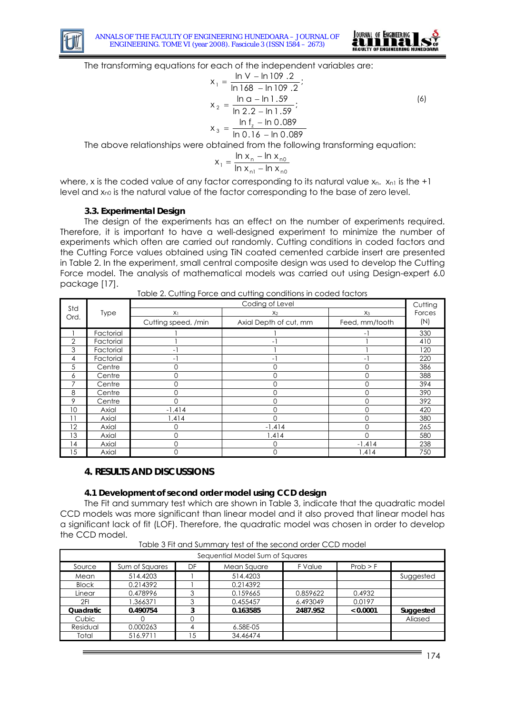



The transforming equations for each of the independent variables are:

$$
x_1 = \frac{\ln V - \ln 109.2}{\ln 168 - \ln 109.2};
$$
  
\n
$$
x_2 = \frac{\ln \alpha - \ln 1.59}{\ln 2.2 - \ln 1.59};
$$
  
\n
$$
x_3 = \frac{\ln f_z - \ln 0.089}{\ln 0.16 - \ln 0.089}
$$
 (6)

The above relationships were obtained from the following transforming equation:

$$
x_1 = \frac{\ln x_n - \ln x_{n0}}{\ln x_{n1} - \ln x_{n0}}
$$

where, x is the coded value of any factor corresponding to its natural value  $x_n$ .  $x_{n1}$  is the +1 level and  $x_{n0}$  is the natural value of the factor corresponding to the base of zero level.

#### **3.3. Experimental Design**

The design of the experiments has an effect on the number of experiments required. Therefore, it is important to have a well-designed experiment to minimize the number of experiments which often are carried out randomly. Cutting conditions in coded factors and the Cutting Force values obtained using TiN coated cemented carbide insert are presented in Table 2. In the experiment, small central composite design was used to develop the Cutting Force model. The analysis of mathematical models was carried out using Design-expert 6.0 package [17].

|                |             | Coding of Level     |                        |                |        |  |
|----------------|-------------|---------------------|------------------------|----------------|--------|--|
| Std            | <b>Type</b> | X <sub>1</sub>      | X <sub>2</sub>         | $X_3$          | Forces |  |
| Ord.           |             | Cutting speed, /min | Axial Depth of cut, mm | Feed, mm/tooth | (N)    |  |
|                | Factorial   |                     |                        | - 1            | 330    |  |
| $\overline{2}$ | Factorial   |                     | - 1                    |                | 410    |  |
| 3              | Factorial   | -1                  |                        |                | 120    |  |
| 4              | Factorial   | - 1                 | - 1                    | Ξ.             | 220    |  |
| 5              | Centre      | 0                   |                        | 0              | 386    |  |
| 6              | Centre      | $\mathbf 0$         | O.                     | 0              | 388    |  |
| 7              | Centre      | $\mathbf 0$         | O.                     | 0              | 394    |  |
| 8              | Centre      | $\mathbf 0$         | O                      | 0              | 390    |  |
| 9              | Centre      | $\Omega$            | O                      | 0              | 392    |  |
| 10             | Axial       | $-1.414$            | ∩                      | 0              | 420    |  |
| 11             | Axial       | 1.414               |                        | O              | 380    |  |
| 12             | Axial       | $\mathbf 0$         | $-1.414$               |                | 265    |  |
| 13             | Axial       | $\mathbf 0$         | .414                   |                | 580    |  |
| 14             | Axial       | $\Omega$            |                        | $-1.414$       | 238    |  |
| 15             | Axial       | 0                   |                        | 1.414          | 750    |  |

Table 2. Cutting Force and cutting conditions in coded factors

#### **4. RESULTS AND DISCUSSIONS**

#### **4.1 Development of second order model using CCD design**

The Fit and summary test which are shown in Table 3, indicate that the quadratic model CCD models was more significant than linear model and it also proved that linear model has a significant lack of fit (LOF). Therefore, the quadratic model was chosen in order to develop the CCD model.

| Sequential Model Sum of Squares |                |    |             |          |          |           |
|---------------------------------|----------------|----|-------------|----------|----------|-----------|
| Source                          | Sum of Squares | DF | Mean Square | F Value  | Prob > F |           |
| Mean                            | 514.4203       |    | 514.4203    |          |          | Suggested |
| <b>Block</b>                    | 0.214392       |    | 0.214392    |          |          |           |
| Linear                          | 0.478996       | 3  | 0.159665    | 0.859622 | 0.4932   |           |
| 2FI                             | 1.366371       | 3  | 0.455457    | 6.493049 | 0.0197   |           |
| Quadratic                       | 0.490754       | 3  | 0.163585    | 2487.952 | < 0.0001 | Suggested |
| Cubic                           |                |    |             |          |          | Aliased   |
| Residual                        | 0.000263       | 4  | 6.58E-05    |          |          |           |
| Total                           | 516.9711       | 15 | 34.46474    |          |          |           |

Table 3 Fit and Summary test of the second order CCD model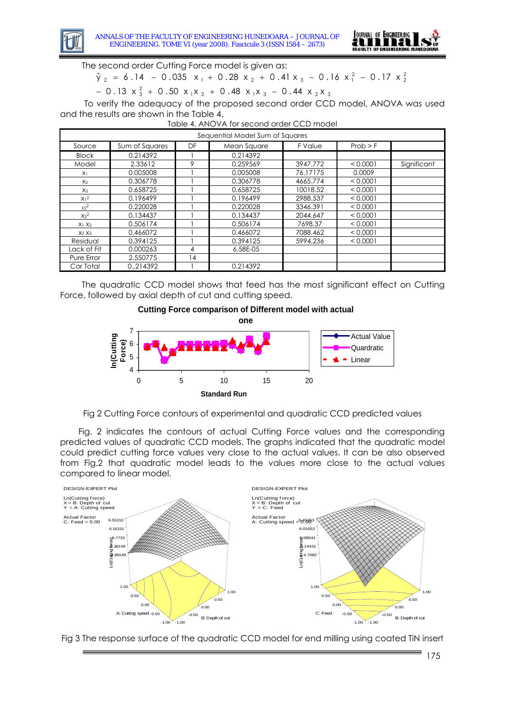

The second order Cutting Force model is given as:

 $\hat{y}_2 = 6.14 - 0.035 x_1 + 0.28 x_2 + 0.41 x_3 - 0.16 x_1^2 - 0.17 x_2^2$ 

− 0.13  $x_3^2$  + 0.50  $x_1x_2$  + 0.48  $x_1x_3$  − 0.44  $x_2x_3$ 

To verify the adequacy of the proposed second order CCD model, ANOVA was used and the results are shown in the Table 4.

| Sequential Model Sum of Squares |                |                |             |          |          |             |
|---------------------------------|----------------|----------------|-------------|----------|----------|-------------|
| Source                          | Sum of Squares | DF             | Mean Square | F Value  | Prob > F |             |
| <b>Block</b>                    | 0.214392       |                | 0.214392    |          |          |             |
| Model                           | 2.33612        | 9              | 0.259569    | 3947.772 | < 0.0001 | Significant |
| X <sub>1</sub>                  | 0.005008       |                | 0.005008    | 76.17175 | 0.0009   |             |
| X <sub>2</sub>                  | 0.306778       |                | 0.306778    | 4665.774 | < 0.0001 |             |
| $X_3$                           | 0.658725       |                | 0.658725    | 10018.52 | < 0.0001 |             |
| $X_1^2$                         | 0.196499       |                | 0.196499    | 2988.537 | < 0.0001 |             |
| $x_2^2$                         | 0.220028       |                | 0.220028    | 3346.391 | < 0.0001 |             |
| $X_3^2$                         | 0.134437       |                | 0.134437    | 2044.647 | < 0.0001 |             |
| $X_1 X_2$                       | 0.506174       |                | 0.506174    | 7698.37  | < 0.0001 |             |
| $X_2$ $X_3$                     | 0.466072       |                | 0.466072    | 7088.462 | < 0.0001 |             |
| Residual                        | 0.394125       |                | 0.394125    | 5994.236 | < 0.0001 |             |
| Lack of Fit                     | 0.000263       | 4              | 6.58E-05    |          |          |             |
| Pure Error                      | 2.550775       | $\overline{4}$ |             |          |          |             |
| Cor Total                       | 0.214392       |                | 0.214392    |          |          |             |

Table 4. ANOVA for second order CCD model

The quadratic CCD model shows that feed has the most significant effect on Cutting Force, followed by axial depth of cut and cutting speed.





Fig 2 Cutting Force contours of experimental and quadratic CCD predicted values

Fig. 2 indicates the contours of actual Cutting Force values and the corresponding predicted values of quadratic CCD models. The graphs indicated that the quadratic model could predict cutting force values very close to the actual values. It can be also observed from Fig.2 that quadratic model leads to the values more close to the actual values compared to linear model.



Fig 3 The response surface of the quadratic CCD model for end milling using coated TiN insert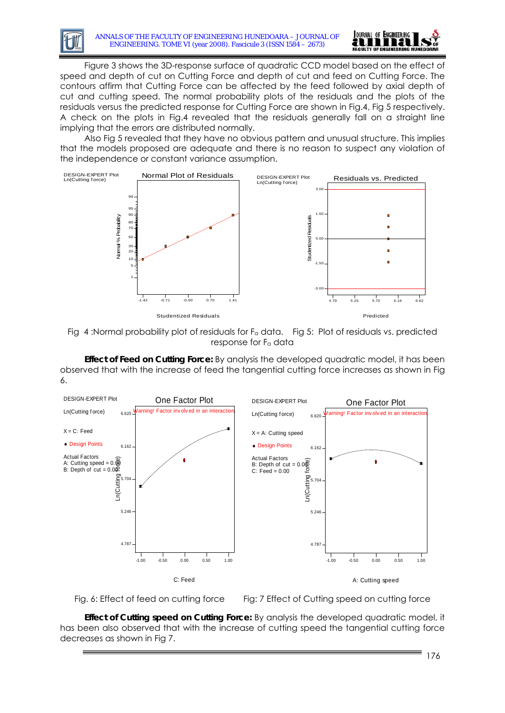

Figure 3 shows the 3D-response surface of quadratic CCD model based on the effect of speed and depth of cut on Cutting Force and depth of cut and feed on Cutting Force. The contours affirm that Cutting Force can be affected by the feed followed by axial depth of cut and cutting speed. The normal probability plots of the residuals and the plots of the residuals versus the predicted response for Cutting Force are shown in Fig.4, Fig 5 respectively. A check on the plots in Fig.4 revealed that the residuals generally fall on a straight line implying that the errors are distributed normally.

Also Fig 5 revealed that they have no obvious pattern and unusual structure. This implies that the models proposed are adequate and there is no reason to suspect any violation of the independence or constant variance assumption.



Fig 4 :Normal probability plot of residuals for Fa data. Fig 5: Plot of residuals vs. predicted response for Fa data

**Effect of Feed on Cutting Force:** By analysis the developed quadratic model, it has been observed that with the increase of feed the tangential cutting force increases as shown in Fig 6.





Fig. 6: Effect of feed on cutting force Fig: 7 Effect of Cutting speed on cutting force

**Effect of Cutting speed on Cutting Force:** By analysis the developed quadratic model, it has been also observed that with the increase of cutting speed the tangential cutting force decreases as shown in Fig 7.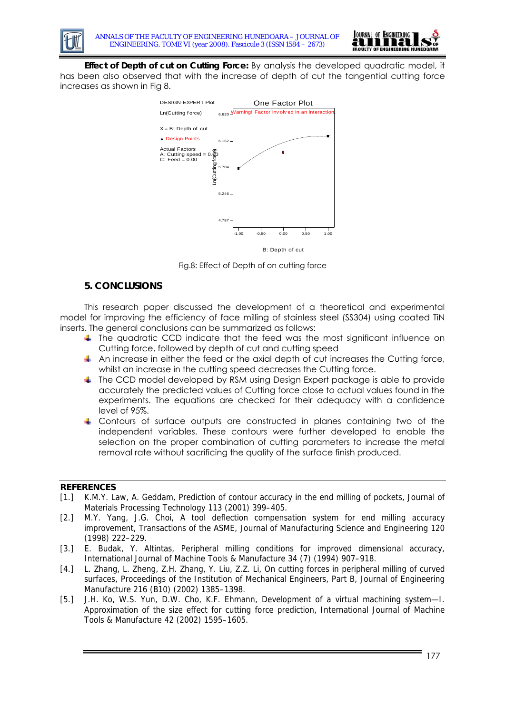



**Effect of Depth of cut on Cutting Force:** By analysis the developed quadratic model, it has been also observed that with the increase of depth of cut the tangential cutting force increases as shown in Fig 8.



B: Depth of cut

Fig.8: Effect of Depth of on cutting force

# **5. CONCLUSIONS**

This research paper discussed the development of a theoretical and experimental model for improving the efficiency of face milling of stainless steel (SS304) using coated TiN inserts. The general conclusions can be summarized as follows:

- $\ddot{\phantom{1}}$  The quadratic CCD indicate that the feed was the most significant influence on Cutting force, followed by depth of cut and cutting speed
- $\Box$  An increase in either the feed or the axial depth of cut increases the Cutting force, whilst an increase in the cutting speed decreases the Cutting force.
- $\ddot{\phantom{1}}$  The CCD model developed by RSM using Design Expert package is able to provide accurately the predicted values of Cutting force close to actual values found in the experiments. The equations are checked for their adequacy with a confidence level of 95%.
- 4 Contours of surface outputs are constructed in planes containing two of the independent variables. These contours were further developed to enable the selection on the proper combination of cutting parameters to increase the metal removal rate without sacrificing the quality of the surface finish produced.

# **REFERENCES**

- [1.] K.M.Y. Law, A. Geddam, Prediction of contour accuracy in the end milling of pockets, Journal of Materials Processing Technology 113 (2001) 399–405.
- [2.] M.Y. Yang, J.G. Choi, A tool deflection compensation system for end milling accuracy improvement, Transactions of the ASME, Journal of Manufacturing Science and Engineering 120 (1998) 222–229.
- [3.] E. Budak, Y. Altintas, Peripheral milling conditions for improved dimensional accuracy, International Journal of Machine Tools & Manufacture 34 (7) (1994) 907–918.
- [4.] L. Zhang, L. Zheng, Z.H. Zhang, Y. Liu, Z.Z. Li, On cutting forces in peripheral milling of curved surfaces, Proceedings of the Institution of Mechanical Engineers, Part B, Journal of Engineering Manufacture 216 (B10) (2002) 1385–1398.
- [5.] J.H. Ko, W.S. Yun, D.W. Cho, K.F. Ehmann, Development of a virtual machining system—I. Approximation of the size effect for cutting force prediction, International Journal of Machine Tools & Manufacture 42 (2002) 1595–1605.